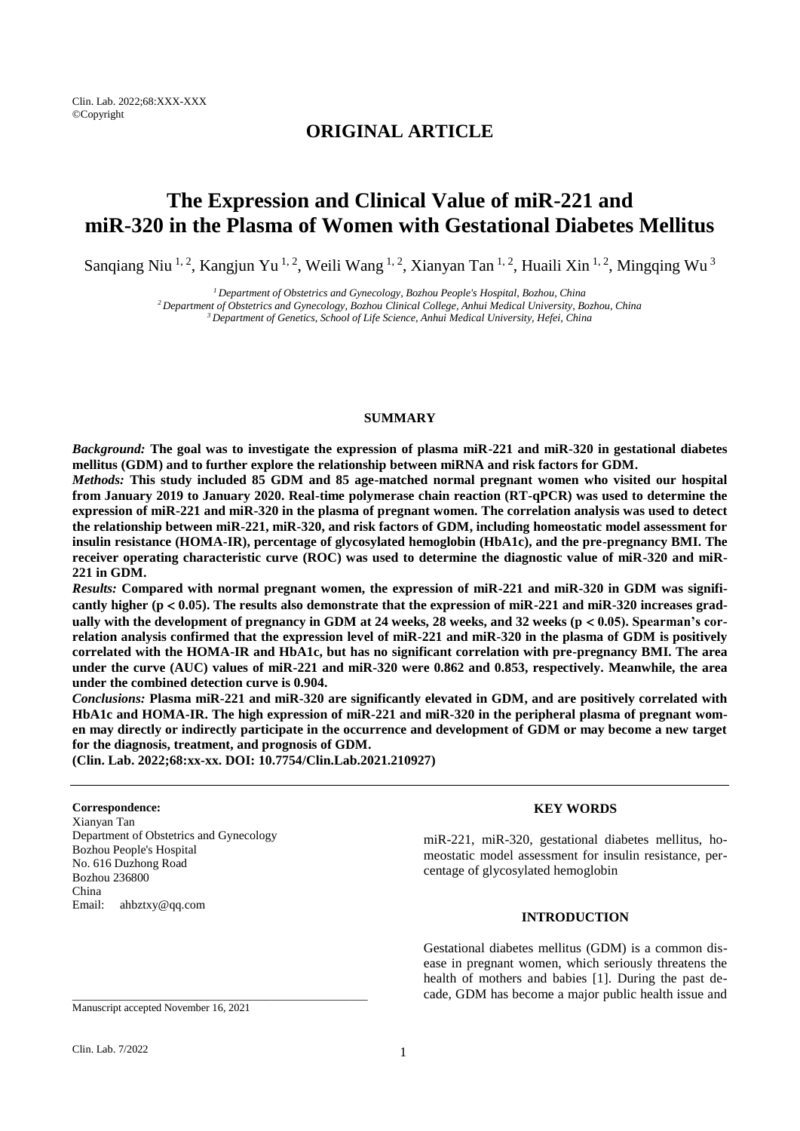Clin. Lab. 2022;68:XXX-XXX ©Copyright

## **ORIGINAL ARTICLE**

# **The Expression and Clinical Value of miR-221 and miR-320 in the Plasma of Women with Gestational Diabetes Mellitus**

Sanqiang Niu <sup>1, 2</sup>, Kangjun Yu <sup>1, 2</sup>, Weili Wang <sup>1, 2</sup>, Xianyan Tan <sup>1, 2</sup>, Huaili Xin <sup>1, 2</sup>, Mingqing Wu <sup>3</sup>

*<sup>1</sup>Department of Obstetrics and Gynecology, Bozhou People's Hospital, Bozhou, China*

*<sup>2</sup>Department of Obstetrics and Gynecology, Bozhou Clinical College, Anhui Medical University, Bozhou, China <sup>3</sup>Department of Genetics, School of Life Science, Anhui Medical University, Hefei, China*

#### **SUMMARY**

*Background:* **The goal was to investigate the expression of plasma miR-221 and miR-320 in gestational diabetes mellitus (GDM) and to further explore the relationship between miRNA and risk factors for GDM.**

*Methods:* **This study included 85 GDM and 85 age-matched normal pregnant women who visited our hospital from January 2019 to January 2020. Real-time polymerase chain reaction (RT-qPCR) was used to determine the expression of miR-221 and miR-320 in the plasma of pregnant women. The correlation analysis was used to detect the relationship between miR-221, miR-320, and risk factors of GDM, including homeostatic model assessment for insulin resistance (HOMA-IR), percentage of glycosylated hemoglobin (HbA1c), and the pre-pregnancy BMI. The receiver operating characteristic curve (ROC) was used to determine the diagnostic value of miR-320 and miR-221 in GDM.**

*Results:* **Compared with normal pregnant women, the expression of miR-221 and miR-320 in GDM was signifi**cantly higher ( $p < 0.05$ ). The results also demonstrate that the expression of miR-221 and miR-320 increases gradually with the development of pregnancy in GDM at 24 weeks, 28 weeks, and 32 weeks  $(p < 0.05)$ . Spearman's cor**relation analysis confirmed that the expression level of miR-221 and miR-320 in the plasma of GDM is positively correlated with the HOMA-IR and HbA1c, but has no significant correlation with pre-pregnancy BMI. The area under the curve (AUC) values of miR-221 and miR-320 were 0.862 and 0.853, respectively. Meanwhile, the area under the combined detection curve is 0.904.**

*Conclusions:* **Plasma miR-221 and miR-320 are significantly elevated in GDM, and are positively correlated with HbA1c and HOMA-IR. The high expression of miR-221 and miR-320 in the peripheral plasma of pregnant women may directly or indirectly participate in the occurrence and development of GDM or may become a new target for the diagnosis, treatment, and prognosis of GDM.**

**(Clin. Lab. 2022;68:xx-xx. DOI: 10.7754/Clin.Lab.2021.210927)**

#### **Correspondence:**

Xianyan Tan Department of Obstetrics and Gynecology Bozhou People's Hospital No. 616 Duzhong Road Bozhou 236800 China Email: ahbztxy@qq.com

## **KEY WORDS**

miR-221, miR-320, gestational diabetes mellitus, homeostatic model assessment for insulin resistance, percentage of glycosylated hemoglobin

## **INTRODUCTION**

Gestational diabetes mellitus (GDM) is a common disease in pregnant women, which seriously threatens the health of mothers and babies [1]. During the past decade, GDM has become a major public health issue and

\_\_\_\_\_\_\_\_\_\_\_\_\_\_\_\_\_\_\_\_\_\_\_\_\_\_\_\_\_\_\_\_\_\_\_\_\_\_\_\_\_\_\_\_\_\_\_\_\_\_\_\_\_\_\_

Manuscript accepted November 16, 2021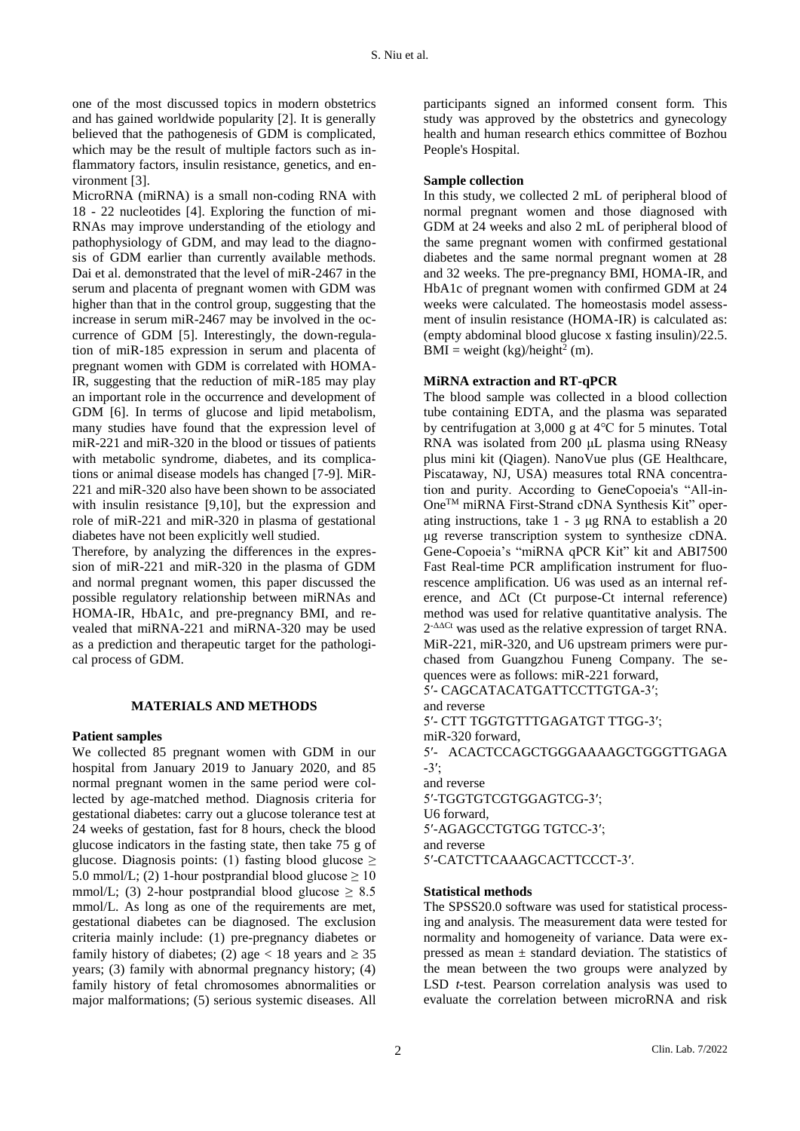one of the most discussed topics in modern obstetrics and has gained worldwide popularity [2]. It is generally believed that the pathogenesis of GDM is complicated, which may be the result of multiple factors such as inflammatory factors, insulin resistance, genetics, and environment [3].

MicroRNA (miRNA) is a small non-coding RNA with 18 - 22 nucleotides [4]. Exploring the function of mi-RNAs may improve understanding of the etiology and pathophysiology of GDM, and may lead to the diagnosis of GDM earlier than currently available methods. Dai et al. demonstrated that the level of miR-2467 in the serum and placenta of pregnant women with GDM was higher than that in the control group, suggesting that the increase in serum miR-2467 may be involved in the occurrence of GDM [5]. Interestingly, the down-regulation of miR-185 expression in serum and placenta of pregnant women with GDM is correlated with HOMA-IR, suggesting that the reduction of miR-185 may play an important role in the occurrence and development of GDM [6]. In terms of glucose and lipid metabolism, many studies have found that the expression level of miR-221 and miR-320 in the blood or tissues of patients with metabolic syndrome, diabetes, and its complications or animal disease models has changed [7-9]. MiR-221 and miR-320 also have been shown to be associated with insulin resistance [9,10], but the expression and role of miR-221 and miR-320 in plasma of gestational diabetes have not been explicitly well studied.

Therefore, by analyzing the differences in the expression of miR-221 and miR-320 in the plasma of GDM and normal pregnant women, this paper discussed the possible regulatory relationship between miRNAs and HOMA-IR, HbA1c, and pre-pregnancy BMI, and revealed that miRNA-221 and miRNA-320 may be used as a prediction and therapeutic target for the pathological process of GDM.

#### **MATERIALS AND METHODS**

## **Patient samples**

We collected 85 pregnant women with GDM in our hospital from January 2019 to January 2020, and 85 normal pregnant women in the same period were collected by age-matched method. Diagnosis criteria for gestational diabetes: carry out a glucose tolerance test at 24 weeks of gestation, fast for 8 hours, check the blood glucose indicators in the fasting state, then take 75 g of glucose. Diagnosis points: (1) fasting blood glucose  $\geq$ 5.0 mmol/L; (2) 1-hour postprandial blood glucose  $\geq 10$ mmol/L; (3) 2-hour postprandial blood glucose  $\geq 8.5$ mmol/L. As long as one of the requirements are met, gestational diabetes can be diagnosed. The exclusion criteria mainly include: (1) pre-pregnancy diabetes or family history of diabetes; (2) age < 18 years and  $\geq$  35 years; (3) family with abnormal pregnancy history; (4) family history of fetal chromosomes abnormalities or major malformations; (5) serious systemic diseases. All

participants signed an informed consent form. This study was approved by the obstetrics and gynecology health and human research ethics committee of Bozhou People's Hospital.

#### **Sample collection**

In this study, we collected 2 mL of peripheral blood of normal pregnant women and those diagnosed with GDM at 24 weeks and also 2 mL of peripheral blood of the same pregnant women with confirmed gestational diabetes and the same normal pregnant women at 28 and 32 weeks. The pre-pregnancy BMI, HOMA-IR, and HbA1c of pregnant women with confirmed GDM at 24 weeks were calculated. The homeostasis model assessment of insulin resistance (HOMA-IR) is calculated as: (empty abdominal blood glucose x fasting insulin)/22.5.  $BMI = weight (kg)/height<sup>2</sup> (m).$ 

## **MiRNA extraction and RT-qPCR**

The blood sample was collected in a blood collection tube containing EDTA, and the plasma was separated by centrifugation at 3,000 g at 4℃ for 5 minutes. Total RNA was isolated from 200 μL plasma using RNeasy plus mini kit (Qiagen). NanoVue plus (GE Healthcare, Piscataway, NJ, USA) measures total RNA concentration and purity. According to GeneCopoeia's "All-in-OneTM miRNA First-Strand cDNA Synthesis Kit" operating instructions, take  $1 - 3 \mu$ g RNA to establish a 20 μg reverse transcription system to synthesize cDNA. Gene-Copoeia's "miRNA qPCR Kit" kit and ABI7500 Fast Real-time PCR amplification instrument for fluorescence amplification. U6 was used as an internal reference, and ΔCt (Ct purpose-Ct internal reference) method was used for relative quantitative analysis. The  $2^{-\Delta\Delta Ct}$  was used as the relative expression of target RNA. MiR-221, miR-320, and U6 upstream primers were purchased from Guangzhou Funeng Company. The sequences were as follows: miR-221 forward,

5′- CAGCATACATGATTCCTTGTGA-3′; and reverse 5′- CTT TGGTGTTTGAGATGT TTGG-3′; miR-320 forward, 5′- ACACTCCAGCTGGGAAAAGCTGGGTTGAGA -3′; and reverse 5′-TGGTGTCGTGGAGTCG-3′; U6 forward, 5′-AGAGCCTGTGG TGTCC-3′; and reverse 5′-CATCTTCAAAGCACTTCCCT-3′.

## **Statistical methods**

The SPSS20.0 software was used for statistical processing and analysis. The measurement data were tested for normality and homogeneity of variance. Data were expressed as mean  $\pm$  standard deviation. The statistics of the mean between the two groups were analyzed by LSD *t-*test. Pearson correlation analysis was used to evaluate the correlation between microRNA and risk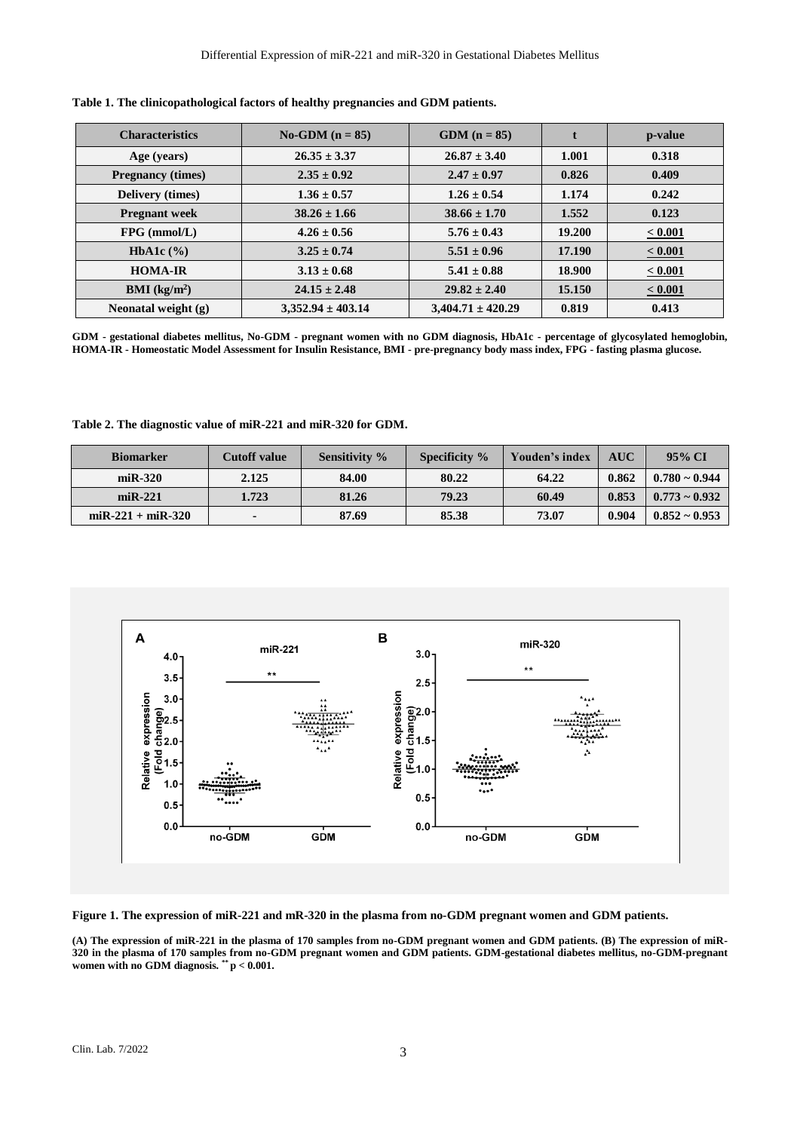| <b>Characteristics</b>         | $No-GDM (n = 85)$     | $GDM (n = 85)$        |        | p-value      |
|--------------------------------|-----------------------|-----------------------|--------|--------------|
| Age (years)                    | $26.35 \pm 3.37$      | $26.87 \pm 3.40$      | 1.001  | 0.318        |
| <b>Pregnancy (times)</b>       | $2.35 \pm 0.92$       | $2.47 \pm 0.97$       | 0.826  | 0.409        |
| <b>Delivery</b> (times)        | $1.36 \pm 0.57$       | $1.26 \pm 0.54$       | 1.174  | 0.242        |
| <b>Pregnant</b> week           | $38.26 \pm 1.66$      | $38.66 \pm 1.70$      | 1.552  | 0.123        |
| $FPG$ (mmol/L)                 | $4.26 \pm 0.56$       | $5.76 \pm 0.43$       | 19.200 | $\le 0.001$  |
| HbA1c $(\% )$                  | $3.25 \pm 0.74$       | $5.51 \pm 0.96$       | 17.190 | $\le 0.001$  |
| <b>HOMA-IR</b>                 | $3.13 \pm 0.68$       | $5.41 \pm 0.88$       | 18.900 | $\le 0.001$  |
| <b>BMI</b> ( $\text{kg/m}^2$ ) | $24.15 \pm 2.48$      | $29.82 \pm 2.40$      | 15.150 | $\leq 0.001$ |
| Neonatal weight (g)            | $3,352.94 \pm 403.14$ | $3.404.71 \pm 420.29$ | 0.819  | 0.413        |

**Table 1. The clinicopathological factors of healthy pregnancies and GDM patients.**

**GDM - gestational diabetes mellitus, No-GDM - pregnant women with no GDM diagnosis, HbA1c - percentage of glycosylated hemoglobin, HOMA-IR - Homeostatic Model Assessment for Insulin Resistance, BMI - pre-pregnancy body mass index, FPG - fasting plasma glucose.**

**Table 2. The diagnostic value of miR-221 and miR-320 for GDM.**

| <b>Biomarker</b>       | <b>Cutoff value</b> | <b>Sensitivity</b> % | Specificity % | Youden's index | <b>AUC</b> | 95% CI             |
|------------------------|---------------------|----------------------|---------------|----------------|------------|--------------------|
| $miR-320$              | 2.125               | 84.00                | 80.22         | 64.22          | 0.862      | $0.780 \sim 0.944$ |
| $miR-221$              | 1.723               | 81.26                | 79.23         | 60.49          | 0.853      | $0.773 \sim 0.932$ |
| $m$ i R-221 + mi R-320 | ۰                   | 87.69                | 85.38         | 73.07          | 0.904      | $0.852 \sim 0.953$ |



**Figure 1. The expression of miR-221 and mR-320 in the plasma from no-GDM pregnant women and GDM patients.**

**(A) The expression of miR-221 in the plasma of 170 samples from no-GDM pregnant women and GDM patients. (B) The expression of miR-320 in the plasma of 170 samples from no-GDM pregnant women and GDM patients. GDM-gestational diabetes mellitus, no-GDM-pregnant women with no GDM diagnosis. \*\* p < 0.001.**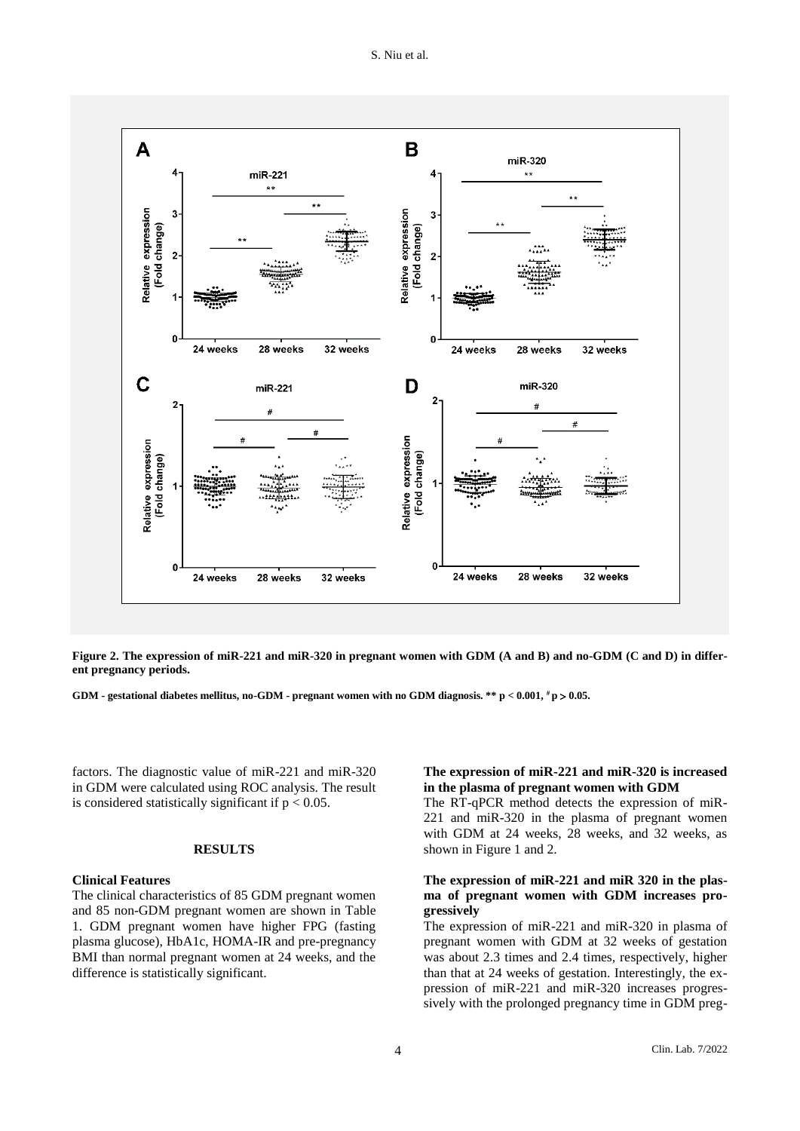

**Figure 2. The expression of miR-221 and miR-320 in pregnant women with GDM (A and B) and no-GDM (C and D) in different pregnancy periods.**

**GDM - gestational diabetes mellitus, no-GDM - pregnant women with no GDM diagnosis. \*\* p < 0.001, # p 0.05.**

factors. The diagnostic value of miR-221 and miR-320 in GDM were calculated using ROC analysis. The result is considered statistically significant if  $p < 0.05$ .

## **RESULTS**

### **Clinical Features**

The clinical characteristics of 85 GDM pregnant women and 85 non-GDM pregnant women are shown in Table 1. GDM pregnant women have higher FPG (fasting plasma glucose), HbA1c, HOMA-IR and pre-pregnancy BMI than normal pregnant women at 24 weeks, and the difference is statistically significant.

## **The expression of miR-221 and miR-320 is increased in the plasma of pregnant women with GDM**

The RT-qPCR method detects the expression of miR-221 and miR-320 in the plasma of pregnant women with GDM at 24 weeks, 28 weeks, and 32 weeks, as shown in Figure 1 and 2.

## **The expression of miR-221 and miR 320 in the plasma of pregnant women with GDM increases progressively**

The expression of miR-221 and miR-320 in plasma of pregnant women with GDM at 32 weeks of gestation was about 2.3 times and 2.4 times, respectively, higher than that at 24 weeks of gestation. Interestingly, the expression of miR-221 and miR-320 increases progressively with the prolonged pregnancy time in GDM preg-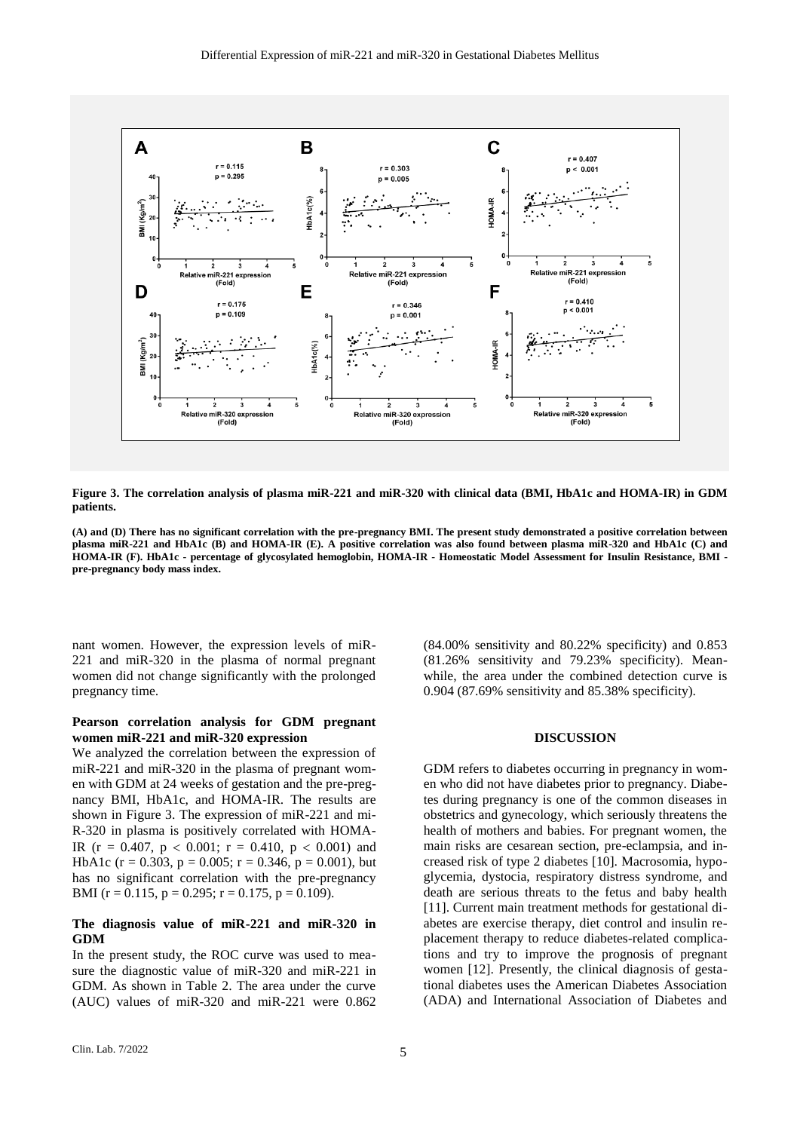

**Figure 3. The correlation analysis of plasma miR-221 and miR-320 with clinical data (BMI, HbA1c and HOMA-IR) in GDM patients.**

**(A) and (D) There has no significant correlation with the pre-pregnancy BMI. The present study demonstrated a positive correlation between plasma miR-221 and HbA1c (B) and HOMA-IR (E). A positive correlation was also found between plasma miR-320 and HbA1c (C) and HOMA-IR (F). HbA1c - percentage of glycosylated hemoglobin, HOMA-IR - Homeostatic Model Assessment for Insulin Resistance, BMI pre-pregnancy body mass index.**

nant women. However, the expression levels of miR-221 and miR-320 in the plasma of normal pregnant women did not change significantly with the prolonged pregnancy time.

#### **Pearson correlation analysis for GDM pregnant women miR-221 and miR-320 expression**

We analyzed the correlation between the expression of miR-221 and miR-320 in the plasma of pregnant women with GDM at 24 weeks of gestation and the pre-pregnancy BMI, HbA1c, and HOMA-IR. The results are shown in Figure 3. The expression of miR-221 and mi-R-320 in plasma is positively correlated with HOMA-IR ( $r = 0.407$ ,  $p < 0.001$ ;  $r = 0.410$ ,  $p < 0.001$ ) and HbA1c ( $r = 0.303$ ,  $p = 0.005$ ;  $r = 0.346$ ,  $p = 0.001$ ), but has no significant correlation with the pre-pregnancy BMI ( $r = 0.115$ ,  $p = 0.295$ ;  $r = 0.175$ ,  $p = 0.109$ ).

## **The diagnosis value of miR-221 and miR-320 in GDM**

In the present study, the ROC curve was used to measure the diagnostic value of miR-320 and miR-221 in GDM. As shown in Table 2. The area under the curve (AUC) values of miR-320 and miR-221 were 0.862

(84.00% sensitivity and 80.22% specificity) and 0.853 (81.26% sensitivity and 79.23% specificity). Meanwhile, the area under the combined detection curve is 0.904 (87.69% sensitivity and 85.38% specificity).

#### **DISCUSSION**

GDM refers to diabetes occurring in pregnancy in women who did not have diabetes prior to pregnancy. Diabetes during pregnancy is one of the common diseases in obstetrics and gynecology, which seriously threatens the health of mothers and babies. For pregnant women, the main risks are cesarean section, pre-eclampsia, and increased risk of type 2 diabetes [10]. Macrosomia, hypoglycemia, dystocia, respiratory distress syndrome, and death are serious threats to the fetus and baby health [11]. Current main treatment methods for gestational diabetes are exercise therapy, diet control and insulin replacement therapy to reduce diabetes-related complications and try to improve the prognosis of pregnant women [12]. Presently, the clinical diagnosis of gestational diabetes uses the American Diabetes Association (ADA) and International Association of Diabetes and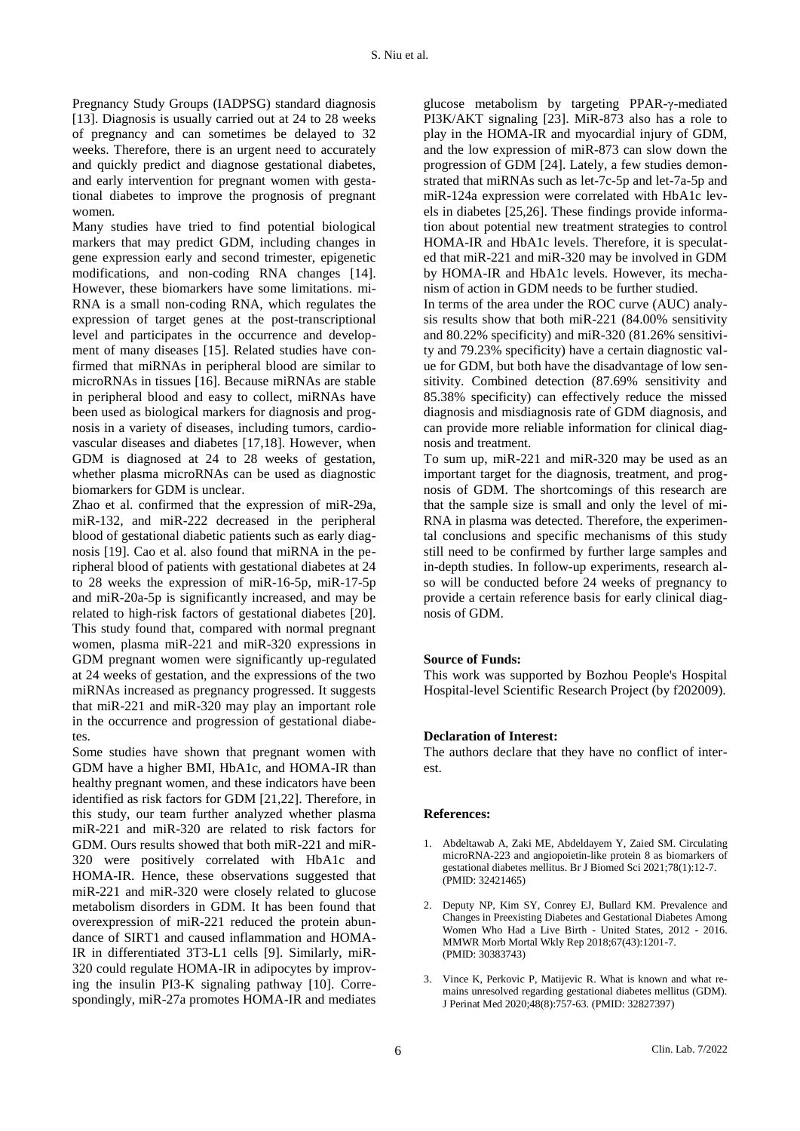Pregnancy Study Groups (IADPSG) standard diagnosis [13]. Diagnosis is usually carried out at 24 to 28 weeks of pregnancy and can sometimes be delayed to 32 weeks. Therefore, there is an urgent need to accurately and quickly predict and diagnose gestational diabetes, and early intervention for pregnant women with gestational diabetes to improve the prognosis of pregnant women.

Many studies have tried to find potential biological markers that may predict GDM, including changes in gene expression early and second trimester, epigenetic modifications, and non-coding RNA changes [14]. However, these biomarkers have some limitations. mi-RNA is a small non-coding RNA, which regulates the expression of target genes at the post-transcriptional level and participates in the occurrence and development of many diseases [15]. Related studies have confirmed that miRNAs in peripheral blood are similar to microRNAs in tissues [16]. Because miRNAs are stable in peripheral blood and easy to collect, miRNAs have been used as biological markers for diagnosis and prognosis in a variety of diseases, including tumors, cardiovascular diseases and diabetes [17,18]. However, when GDM is diagnosed at 24 to 28 weeks of gestation, whether plasma microRNAs can be used as diagnostic biomarkers for GDM is unclear.

Zhao et al. confirmed that the expression of miR-29a, miR-132, and miR-222 decreased in the peripheral blood of gestational diabetic patients such as early diagnosis [19]. Cao et al. also found that miRNA in the peripheral blood of patients with gestational diabetes at 24 to 28 weeks the expression of miR-16-5p, miR-17-5p and miR-20a-5p is significantly increased, and may be related to high-risk factors of gestational diabetes [20]. This study found that, compared with normal pregnant women, plasma miR-221 and miR-320 expressions in GDM pregnant women were significantly up-regulated at 24 weeks of gestation, and the expressions of the two miRNAs increased as pregnancy progressed. It suggests that miR-221 and miR-320 may play an important role in the occurrence and progression of gestational diabetes.

Some studies have shown that pregnant women with GDM have a higher BMI, HbA1c, and HOMA-IR than healthy pregnant women, and these indicators have been identified as risk factors for GDM [21,22]. Therefore, in this study, our team further analyzed whether plasma miR-221 and miR-320 are related to risk factors for GDM. Ours results showed that both miR-221 and miR-320 were positively correlated with HbA1c and HOMA-IR. Hence, these observations suggested that miR-221 and miR-320 were closely related to glucose metabolism disorders in GDM. It has been found that overexpression of miR-221 reduced the protein abundance of SIRT1 and caused inflammation and HOMA-IR in differentiated 3T3-L1 cells [9]. Similarly, miR-320 could regulate HOMA-IR in adipocytes by improving the insulin PI3-K signaling pathway [10]. Correspondingly, miR-27a promotes HOMA-IR and mediates

glucose metabolism by targeting PPAR-γ-mediated PI3K/AKT signaling [23]. MiR-873 also has a role to play in the HOMA-IR and myocardial injury of GDM, and the low expression of miR-873 can slow down the progression of GDM [24]. Lately, a few studies demonstrated that miRNAs such as let-7c-5p and let-7a-5p and miR-124a expression were correlated with HbA1c levels in diabetes [25,26]. These findings provide information about potential new treatment strategies to control HOMA-IR and HbA1c levels. Therefore, it is speculated that miR-221 and miR-320 may be involved in GDM by HOMA-IR and HbA1c levels. However, its mechanism of action in GDM needs to be further studied.

In terms of the area under the ROC curve (AUC) analysis results show that both miR-221 (84.00% sensitivity and 80.22% specificity) and miR-320 (81.26% sensitivity and 79.23% specificity) have a certain diagnostic value for GDM, but both have the disadvantage of low sensitivity. Combined detection (87.69% sensitivity and 85.38% specificity) can effectively reduce the missed diagnosis and misdiagnosis rate of GDM diagnosis, and can provide more reliable information for clinical diagnosis and treatment.

To sum up, miR-221 and miR-320 may be used as an important target for the diagnosis, treatment, and prognosis of GDM. The shortcomings of this research are that the sample size is small and only the level of mi-RNA in plasma was detected. Therefore, the experimental conclusions and specific mechanisms of this study still need to be confirmed by further large samples and in-depth studies. In follow-up experiments, research also will be conducted before 24 weeks of pregnancy to provide a certain reference basis for early clinical diagnosis of GDM.

## **Source of Funds:**

This work was supported by Bozhou People's Hospital Hospital-level Scientific Research Project (by f202009).

#### **Declaration of Interest:**

The authors declare that they have no conflict of interest.

#### **References:**

- 1. Abdeltawab A, Zaki ME, Abdeldayem Y[, Zaied](https://pubmed.ncbi.nlm.nih.gov/?term=Zaied+SM&cauthor_id=32421465) SM. Circulating microRNA-223 and angiopoietin-like protein 8 as biomarkers of gestational diabetes mellitus. Br J Biomed Sci 2021;78(1):12-7. (PMID: 32421465)
- 2. Deputy NP, Kim SY, Conrey EJ, Bullard KM. Prevalence and Changes in Preexisting Diabetes and Gestational Diabetes Among Women Who Had a Live Birth - United States, 2012 - 2016. MMWR Morb Mortal Wkly Rep 2018;67(43):1201-7. (PMID: 30383743)
- 3. Vince K, Perkovic P, Matijevic R. What is known and what remains unresolved regarding gestational diabetes mellitus (GDM). J Perinat Med 2020;48(8):757-63. (PMID: 32827397)